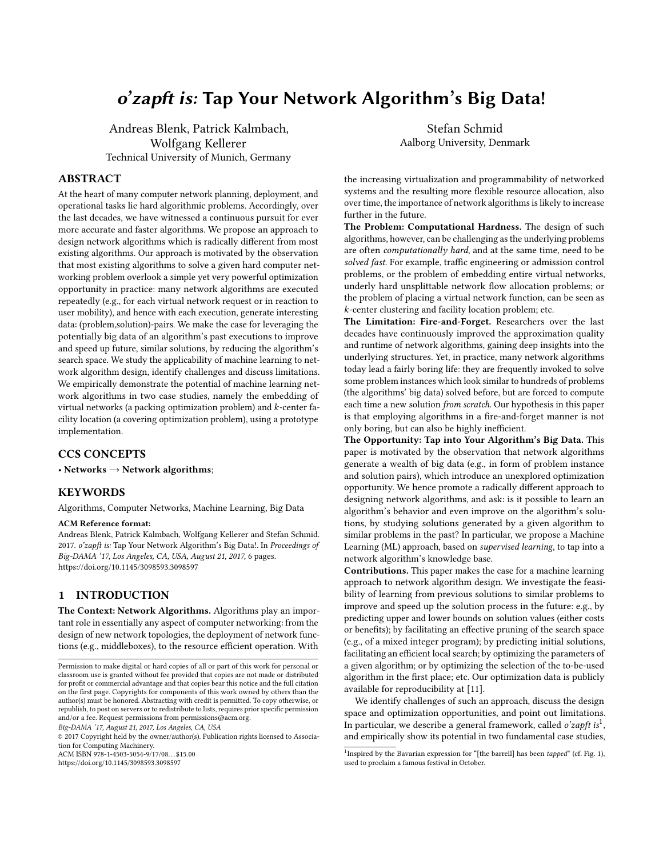# o'zapft is: Tap Your Network Algorithm's Big Data!

Andreas Blenk, Patrick Kalmbach, Wolfgang Kellerer Technical University of Munich, Germany

## ABSTRACT

At the heart of many computer network planning, deployment, and operational tasks lie hard algorithmic problems. Accordingly, over the last decades, we have witnessed a continuous pursuit for ever more accurate and faster algorithms. We propose an approach to design network algorithms which is radically different from most existing algorithms. Our approach is motivated by the observation that most existing algorithms to solve a given hard computer networking problem overlook a simple yet very powerful optimization opportunity in practice: many network algorithms are executed repeatedly (e.g., for each virtual network request or in reaction to user mobility), and hence with each execution, generate interesting data: (problem,solution)-pairs. We make the case for leveraging the potentially big data of an algorithm's past executions to improve and speed up future, similar solutions, by reducing the algorithm's search space. We study the applicability of machine learning to network algorithm design, identify challenges and discuss limitations. We empirically demonstrate the potential of machine learning network algorithms in two case studies, namely the embedding of virtual networks (a packing optimization problem) and k-center facility location (a covering optimization problem), using a prototype implementation.

## CCS CONCEPTS

• Networks  $\rightarrow$  Network algorithms;

## **KEYWORDS**

Algorithms, Computer Networks, Machine Learning, Big Data

#### ACM Reference format:

Andreas Blenk, Patrick Kalmbach, Wolfgang Kellerer and Stefan Schmid. 2017. o'zapft is: Tap Your Network Algorithm's Big Data!. In Proceedings of Big-DAMA '17, Los Angeles, CA, USA, August 21, 2017, [6](#page-5-0) pages. <https://doi.org/10.1145/3098593.3098597>

# 1 INTRODUCTION

The Context: Network Algorithms. Algorithms play an important role in essentially any aspect of computer networking: from the design of new network topologies, the deployment of network functions (e.g., middleboxes), to the resource efficient operation. With

Big-DAMA '17, August 21, 2017, Los Angeles, CA, USA

© 2017 Copyright held by the owner/author(s). Publication rights licensed to Association for Computing Machinery. ACM ISBN 978-1-4503-5054-9/17/08. . . \$15.00

<https://doi.org/10.1145/3098593.3098597>

Stefan Schmid Aalborg University, Denmark

the increasing virtualization and programmability of networked systems and the resulting more flexible resource allocation, also over time, the importance of network algorithms is likely to increase further in the future.

The Problem: Computational Hardness. The design of such algorithms, however, can be challenging as the underlying problems are often computationally hard, and at the same time, need to be solved fast. For example, traffic engineering or admission control problems, or the problem of embedding entire virtual networks, underly hard unsplittable network flow allocation problems; or the problem of placing a virtual network function, can be seen as k-center clustering and facility location problem; etc.

The Limitation: Fire-and-Forget. Researchers over the last decades have continuously improved the approximation quality and runtime of network algorithms, gaining deep insights into the underlying structures. Yet, in practice, many network algorithms today lead a fairly boring life: they are frequently invoked to solve some problem instances which look similar to hundreds of problems (the algorithms' big data) solved before, but are forced to compute each time a new solution from scratch. Our hypothesis in this paper is that employing algorithms in a fire-and-forget manner is not only boring, but can also be highly inefficient.

The Opportunity: Tap into Your Algorithm's Big Data. This paper is motivated by the observation that network algorithms generate a wealth of big data (e.g., in form of problem instance and solution pairs), which introduce an unexplored optimization opportunity. We hence promote a radically different approach to designing network algorithms, and ask: is it possible to learn an algorithm's behavior and even improve on the algorithm's solutions, by studying solutions generated by a given algorithm to similar problems in the past? In particular, we propose a Machine Learning (ML) approach, based on supervised learning, to tap into a network algorithm's knowledge base.

Contributions. This paper makes the case for a machine learning approach to network algorithm design. We investigate the feasibility of learning from previous solutions to similar problems to improve and speed up the solution process in the future: e.g., by predicting upper and lower bounds on solution values (either costs or benefits); by facilitating an effective pruning of the search space (e.g., of a mixed integer program); by predicting initial solutions, facilitating an efficient local search; by optimizing the parameters of a given algorithm; or by optimizing the selection of the to-be-used algorithm in the first place; etc. Our optimization data is publicly available for reproducibility at [\[11\]](#page-5-1).

We identify challenges of such an approach, discuss the design space and optimization opportunities, and point out limitations. In particular, we describe a general framework, called o'zapft is<sup>[1](#page-0-0)</sup>, and empirically show its potential in two fundamental case studies,

Permission to make digital or hard copies of all or part of this work for personal or classroom use is granted without fee provided that copies are not made or distributed for profit or commercial advantage and that copies bear this notice and the full citation on the first page. Copyrights for components of this work owned by others than the author(s) must be honored. Abstracting with credit is permitted. To copy otherwise, or republish, to post on servers or to redistribute to lists, requires prior specific permission and/or a fee. Request permissions from permissions@acm.org.

<span id="page-0-0"></span><sup>&</sup>lt;sup>1</sup> Inspired by the Bavarian expression for "[the barrell] has been tapped" (cf. Fig. [1\)](#page-1-0), used to proclaim a famous festival in October.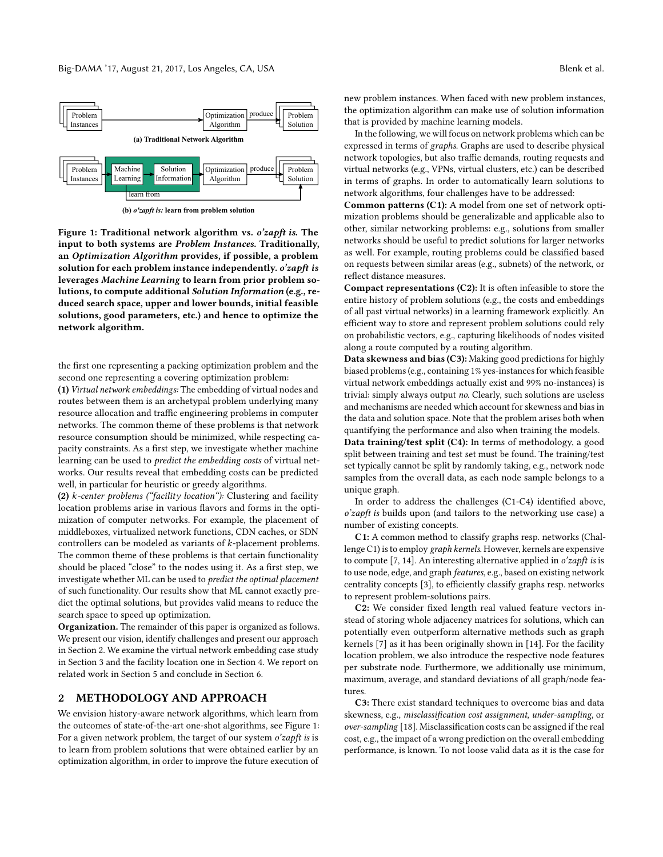<span id="page-1-0"></span>

**(b)** *o'zapft is:* **learn from problem solution** 

Figure 1: Traditional network algorithm vs. o'zapft is. The input to both systems are Problem Instances. Traditionally, an Optimization Algorithm provides, if possible, a problem solution for each problem instance independently. o'zapft is leverages Machine Learning to learn from prior problem solutions, to compute additional Solution Information (e.g., reduced search space, upper and lower bounds, initial feasible solutions, good parameters, etc.) and hence to optimize the network algorithm.

the first one representing a packing optimization problem and the second one representing a covering optimization problem:

(1) Virtual network embeddings: The embedding of virtual nodes and routes between them is an archetypal problem underlying many resource allocation and traffic engineering problems in computer networks. The common theme of these problems is that network resource consumption should be minimized, while respecting capacity constraints. As a first step, we investigate whether machine learning can be used to predict the embedding costs of virtual networks. Our results reveal that embedding costs can be predicted well, in particular for heuristic or greedy algorithms.

(2)  $k$ -center problems ("facility location"): Clustering and facility location problems arise in various flavors and forms in the optimization of computer networks. For example, the placement of middleboxes, virtualized network functions, CDN caches, or SDN controllers can be modeled as variants of k-placement problems. The common theme of these problems is that certain functionality should be placed "close" to the nodes using it. As a first step, we investigate whether ML can be used to predict the optimal placement of such functionality. Our results show that ML cannot exactly predict the optimal solutions, but provides valid means to reduce the search space to speed up optimization.

Organization. The remainder of this paper is organized as follows. We present our vision, identify challenges and present our approach in Section [2.](#page-1-1) We examine the virtual network embedding case study in Section [3](#page-2-0) and the facility location one in Section [4.](#page-3-0) We report on related work in Section [5](#page-4-0) and conclude in Section [6.](#page-5-2)

## <span id="page-1-1"></span>2 METHODOLOGY AND APPROACH

We envision history-aware network algorithms, which learn from the outcomes of state-of-the-art one-shot algorithms, see Figure [1:](#page-1-0) For a given network problem, the target of our system o'zapft is is to learn from problem solutions that were obtained earlier by an optimization algorithm, in order to improve the future execution of

new problem instances. When faced with new problem instances, the optimization algorithm can make use of solution information that is provided by machine learning models.

In the following, we will focus on network problems which can be expressed in terms of graphs. Graphs are used to describe physical network topologies, but also traffic demands, routing requests and virtual networks (e.g., VPNs, virtual clusters, etc.) can be described in terms of graphs. In order to automatically learn solutions to network algorithms, four challenges have to be addressed:

Common patterns (C1): A model from one set of network optimization problems should be generalizable and applicable also to other, similar networking problems: e.g., solutions from smaller networks should be useful to predict solutions for larger networks as well. For example, routing problems could be classified based on requests between similar areas (e.g., subnets) of the network, or reflect distance measures.

Compact representations (C2): It is often infeasible to store the entire history of problem solutions (e.g., the costs and embeddings of all past virtual networks) in a learning framework explicitly. An efficient way to store and represent problem solutions could rely on probabilistic vectors, e.g., capturing likelihoods of nodes visited along a route computed by a routing algorithm.

Data skewness and bias (C3): Making good predictions for highly biased problems (e.g., containing 1% yes-instances for which feasible virtual network embeddings actually exist and 99% no-instances) is trivial: simply always output no. Clearly, such solutions are useless and mechanisms are needed which account for skewness and bias in the data and solution space. Note that the problem arises both when quantifying the performance and also when training the models.

Data training/test split (C4): In terms of methodology, a good split between training and test set must be found. The training/test set typically cannot be split by randomly taking, e.g., network node samples from the overall data, as each node sample belongs to a unique graph.

In order to address the challenges (C1-C4) identified above, o'zapft is builds upon (and tailors to the networking use case) a number of existing concepts.

C1: A common method to classify graphs resp. networks (Challenge C1) is to employ graph kernels. However, kernels are expensive to compute  $[7, 14]$  $[7, 14]$  $[7, 14]$ . An interesting alternative applied in  $o'zapft$  is is to use node, edge, and graph features, e.g., based on existing network centrality concepts [\[3\]](#page-5-5), to efficiently classify graphs resp. networks to represent problem-solutions pairs.

C2: We consider fixed length real valued feature vectors instead of storing whole adjacency matrices for solutions, which can potentially even outperform alternative methods such as graph kernels [\[7\]](#page-5-3) as it has been originally shown in [\[14\]](#page-5-4). For the facility location problem, we also introduce the respective node features per substrate node. Furthermore, we additionally use minimum, maximum, average, and standard deviations of all graph/node features.

C3: There exist standard techniques to overcome bias and data skewness, e.g., misclassification cost assignment, under-sampling, or over-sampling [\[18\]](#page-5-6). Misclassification costs can be assigned if the real cost, e.g., the impact of a wrong prediction on the overall embedding performance, is known. To not loose valid data as it is the case for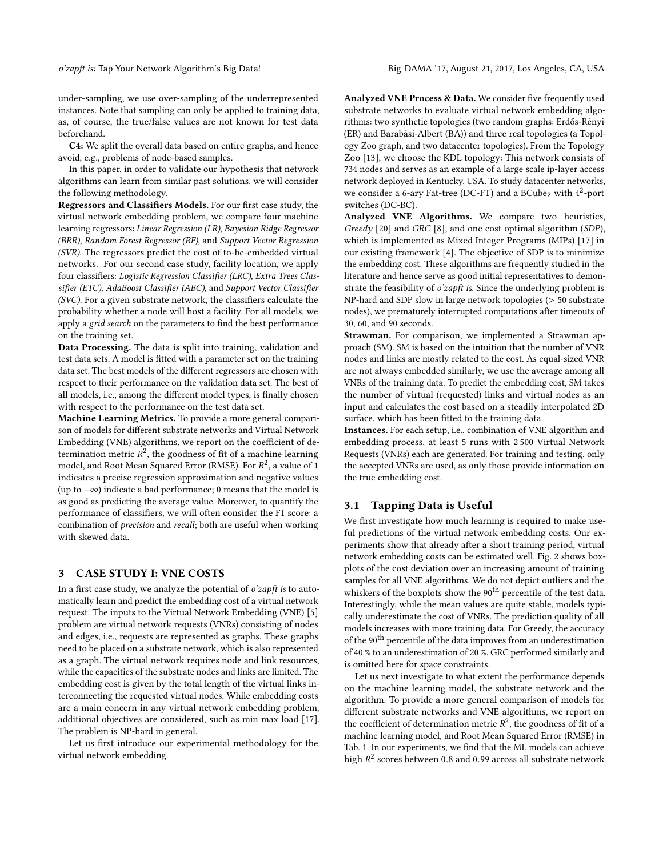under-sampling, we use over-sampling of the underrepresented instances. Note that sampling can only be applied to training data, as, of course, the true/false values are not known for test data beforehand.

C4: We split the overall data based on entire graphs, and hence avoid, e.g., problems of node-based samples.

In this paper, in order to validate our hypothesis that network algorithms can learn from similar past solutions, we will consider the following methodology.

Regressors and Classifiers Models. For our first case study, the virtual network embedding problem, we compare four machine learning regressors: Linear Regression (LR), Bayesian Ridge Regressor (BRR), Random Forest Regressor (RF), and Support Vector Regression (SVR). The regressors predict the cost of to-be-embedded virtual networks. For our second case study, facility location, we apply four classifiers: Logistic Regression Classifier (LRC), Extra Trees Classifier (ETC), AdaBoost Classifier (ABC), and Support Vector Classifier (SVC). For a given substrate network, the classifiers calculate the probability whether a node will host a facility. For all models, we apply a grid search on the parameters to find the best performance on the training set.

Data Processing. The data is split into training, validation and test data sets. A model is fitted with a parameter set on the training data set. The best models of the different regressors are chosen with respect to their performance on the validation data set. The best of all models, i.e., among the different model types, is finally chosen with respect to the performance on the test data set.

Machine Learning Metrics. To provide a more general comparison of models for different substrate networks and Virtual Network Embedding (VNE) algorithms, we report on the coefficient of determination metric  $R^2$ , the goodness of fit of a machine learning model, and Root Mean Squared Error (RMSE). For  $R^2$ , a value of 1 indicates a precise regression approximation and negative values (up to −∞) indicate a bad performance; 0 means that the model is as good as predicting the average value. Moreover, to quantify the performance of classifiers, we will often consider the F1 score: a combination of precision and recall; both are useful when working with skewed data.

## <span id="page-2-0"></span>3 CASE STUDY I: VNE COSTS

In a first case study, we analyze the potential of  $o$ 'zapft is to automatically learn and predict the embedding cost of a virtual network request. The inputs to the Virtual Network Embedding (VNE) [\[5\]](#page-5-7) problem are virtual network requests (VNRs) consisting of nodes and edges, i.e., requests are represented as graphs. These graphs need to be placed on a substrate network, which is also represented as a graph. The virtual network requires node and link resources, while the capacities of the substrate nodes and links are limited. The embedding cost is given by the total length of the virtual links interconnecting the requested virtual nodes. While embedding costs are a main concern in any virtual network embedding problem, additional objectives are considered, such as min max load [\[17\]](#page-5-8). The problem is NP-hard in general.

Let us first introduce our experimental methodology for the virtual network embedding.

Analyzed VNE Process & Data. We consider five frequently used substrate networks to evaluate virtual network embedding algorithms: two synthetic topologies (two random graphs: Erdős-Rényi (ER) and Barabási-Albert (BA)) and three real topologies (a Topology Zoo graph, and two datacenter topologies). From the Topology Zoo [\[13\]](#page-5-9), we choose the KDL topology: This network consists of 734 nodes and serves as an example of a large scale ip-layer access network deployed in Kentucky, USA. To study datacenter networks, we consider a 6-ary Fat-tree (DC-FT) and a BCube $_2$  with  $4^2$ -port switches (DC-BC).

Analyzed VNE Algorithms. We compare two heuristics, Greedy [\[20\]](#page-5-10) and GRC [\[8\]](#page-5-11), and one cost optimal algorithm (SDP), which is implemented as Mixed Integer Programs (MIPs) [\[17\]](#page-5-8) in our existing framework [\[4\]](#page-5-12). The objective of SDP is to minimize the embedding cost. These algorithms are frequently studied in the literature and hence serve as good initial representatives to demonstrate the feasibility of *o'zapft* is. Since the underlying problem is NP-hard and SDP slow in large network topologies (> <sup>50</sup> substrate nodes), we prematurely interrupted computations after timeouts of 30, 60, and 90 seconds.

Strawman. For comparison, we implemented a Strawman approach (SM). SM is based on the intuition that the number of VNR nodes and links are mostly related to the cost. As equal-sized VNR are not always embedded similarly, we use the average among all VNRs of the training data. To predict the embedding cost, SM takes the number of virtual (requested) links and virtual nodes as an input and calculates the cost based on a steadily interpolated 2D surface, which has been fitted to the training data.

Instances. For each setup, i.e., combination of VNE algorithm and embedding process, at least 5 runs with 2 500 Virtual Network Requests (VNRs) each are generated. For training and testing, only the accepted VNRs are used, as only those provide information on the true embedding cost.

## 3.1 Tapping Data is Useful

We first investigate how much learning is required to make useful predictions of the virtual network embedding costs. Our experiments show that already after a short training period, virtual network embedding costs can be estimated well. Fig. [2](#page-3-1) shows boxplots of the cost deviation over an increasing amount of training samples for all VNE algorithms. We do not depict outliers and the whiskers of the boxplots show the 90<sup>th</sup> percentile of the test data. Interestingly, while the mean values are quite stable, models typically underestimate the cost of VNRs. The prediction quality of all models increases with more training data. For Greedy, the accuracy of the 90<sup>th</sup> percentile of the data improves from an underestimation of 40 % to an underestimation of 20 %. GRC performed similarly and is omitted here for space constraints.

Let us next investigate to what extent the performance depends on the machine learning model, the substrate network and the algorithm. To provide a more general comparison of models for different substrate networks and VNE algorithms, we report on the coefficient of determination metric  $R^2$ , the goodness of fit of a machine learning model, and Root Mean Squared Error (RMSE) in Tab. [1.](#page-3-2) In our experiments, we find that the ML models can achieve high  $R^2$  scores between 0.8 and 0.99 across all substrate network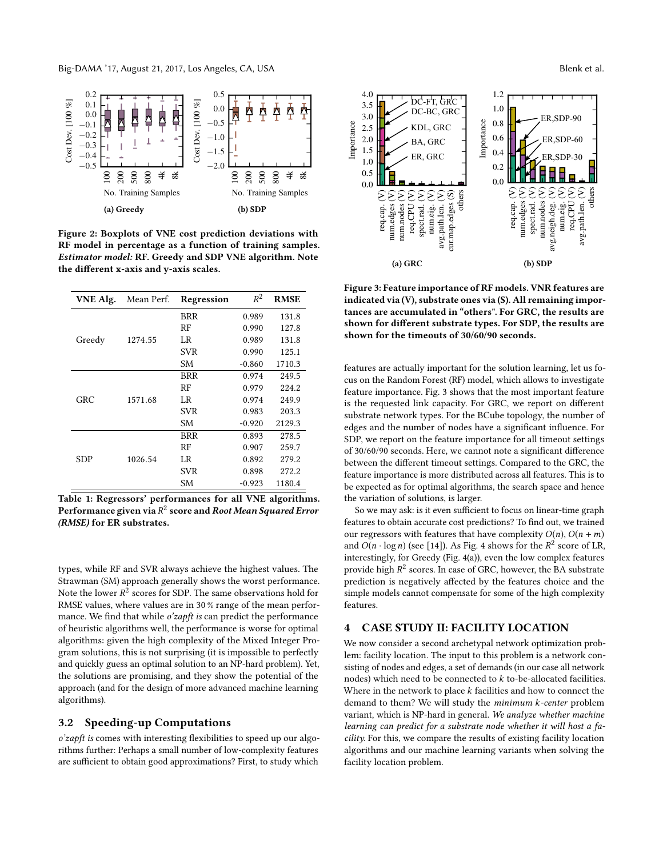<span id="page-3-1"></span>

Figure 2: Boxplots of VNE cost prediction deviations with RF model in percentage as a function of training samples. Estimator model: RF. Greedy and SDP VNE algorithm. Note the different x-axis and y-axis scales.

<span id="page-3-2"></span>

| VNE Alg.   | Mean Perf. | Regression | $R^2$    | <b>RMSE</b> |
|------------|------------|------------|----------|-------------|
| Greedy     | 1274.55    | <b>BRR</b> | 0.989    | 131.8       |
|            |            | RF         | 0.990    | 127.8       |
|            |            | LR         | 0.989    | 131.8       |
|            |            | <b>SVR</b> | 0.990    | 125.1       |
|            |            | SM         | $-0.860$ | 1710.3      |
| GRC        | 1571.68    | <b>BRR</b> | 0.974    | 249.5       |
|            |            | <b>RF</b>  | 0.979    | 224.2       |
|            |            | LR         | 0.974    | 249.9       |
|            |            | <b>SVR</b> | 0.983    | 203.3       |
|            |            | SM         | $-0.920$ | 2129.3      |
| <b>SDP</b> | 1026.54    | <b>BRR</b> | 0.893    | 278.5       |
|            |            | RF         | 0.907    | 259.7       |
|            |            | LR         | 0.892    | 279.2       |
|            |            | <b>SVR</b> | 0.898    | 272.2       |
|            |            | SM         | $-0.923$ | 1180.4      |

Table 1: Regressors' performances for all VNE algorithms. Performance given via  $R^2$  score and *Root Mean Squared Error* (RMSE) for ER substrates.

types, while RF and SVR always achieve the highest values. The Strawman (SM) approach generally shows the worst performance. Note the lower  $R^2$  scores for SDP. The same observations hold for RMSE values, where values are in 30 % range of the mean performance. We find that while *o'zapft* is can predict the performance of heuristic algorithms well, the performance is worse for optimal algorithms: given the high complexity of the Mixed Integer Program solutions, this is not surprising (it is impossible to perfectly and quickly guess an optimal solution to an NP-hard problem). Yet, the solutions are promising, and they show the potential of the approach (and for the design of more advanced machine learning algorithms).

## 3.2 Speeding-up Computations

o'zapft is comes with interesting flexibilities to speed up our algorithms further: Perhaps a small number of low-complexity features are sufficient to obtain good approximations? First, to study which

<span id="page-3-3"></span>

Figure 3: Feature importance of RF models. VNR features are indicated via (V), substrate ones via (S). All remaining importances are accumulated in "others". For GRC, the results are shown for different substrate types. For SDP, the results are shown for the timeouts of 30/60/90 seconds.

features are actually important for the solution learning, let us focus on the Random Forest (RF) model, which allows to investigate feature importance. Fig. [3](#page-3-3) shows that the most important feature is the requested link capacity. For GRC, we report on different substrate network types. For the BCube topology, the number of edges and the number of nodes have a significant influence. For SDP, we report on the feature importance for all timeout settings of 30/60/90 seconds. Here, we cannot note a significant difference between the different timeout settings. Compared to the GRC, the feature importance is more distributed across all features. This is to be expected as for optimal algorithms, the search space and hence the variation of solutions, is larger.

So we may ask: is it even sufficient to focus on linear-time graph features to obtain accurate cost predictions? To find out, we trained our regressors with features that have complexity  $O(n)$ ,  $O(n + m)$ and  $O(n \cdot \log n)$  (see [\[14\]](#page-5-4)). As Fig. [4](#page-4-1) shows for the  $R^2$  score of LR, interestingly, for Greedy (Fig. [4\(](#page-4-1)a)), even the low complex features provide high  $R^2$  scores. In case of GRC, however, the BA substrate prediction is negatively affected by the features choice and the simple models cannot compensate for some of the high complexity features.

## <span id="page-3-0"></span>4 CASE STUDY II: FACILITY LOCATION

We now consider a second archetypal network optimization problem: facility location. The input to this problem is a network consisting of nodes and edges, a set of demands (in our case all network nodes) which need to be connected to  $k$  to-be-allocated facilities. Where in the network to place  $k$  facilities and how to connect the demand to them? We will study the minimum k-center problem variant, which is NP-hard in general. We analyze whether machine learning can predict for a substrate node whether it will host a facility. For this, we compare the results of existing facility location algorithms and our machine learning variants when solving the facility location problem.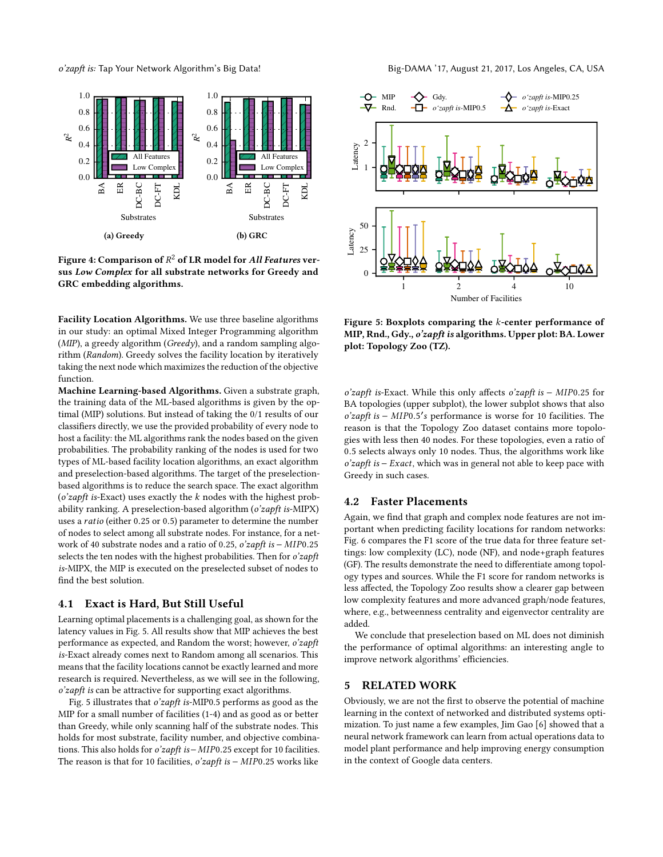<span id="page-4-1"></span>

Figure 4: Comparison of  $\mathit{R}^{2}$  of LR model for All Features versus Low Complex for all substrate networks for Greedy and GRC embedding algorithms.

Facility Location Algorithms. We use three baseline algorithms in our study: an optimal Mixed Integer Programming algorithm  $(MIP)$ , a greedy algorithm (*Greedy*), and a random sampling algorithm (Random). Greedy solves the facility location by iteratively taking the next node which maximizes the reduction of the objective function.

Machine Learning-based Algorithms. Given a substrate graph, the training data of the ML-based algorithms is given by the optimal (MIP) solutions. But instead of taking the 0/1 results of our classifiers directly, we use the provided probability of every node to host a facility: the ML algorithms rank the nodes based on the given probabilities. The probability ranking of the nodes is used for two types of ML-based facility location algorithms, an exact algorithm and preselection-based algorithms. The target of the preselectionbased algorithms is to reduce the search space. The exact algorithm  $(o'zapft$  is-Exact) uses exactly the k nodes with the highest probability ranking. A preselection-based algorithm (o'zapft is-MIPX) uses a ratio (either <sup>0</sup>.<sup>25</sup> or <sup>0</sup>.5) parameter to determine the number of nodes to select among all substrate nodes. For instance, for a network of <sup>40</sup> substrate nodes and a ratio of <sup>0</sup>.25, o'zapft is <sup>−</sup> MIP0.<sup>25</sup> selects the ten nodes with the highest probabilities. Then for o'zapft is-MIPX, the MIP is executed on the preselected subset of nodes to find the best solution.

## 4.1 Exact is Hard, But Still Useful

Learning optimal placements is a challenging goal, as shown for the latency values in Fig. [5.](#page-4-2) All results show that MIP achieves the best performance as expected, and Random the worst; however, o'zapft is-Exact already comes next to Random among all scenarios. This means that the facility locations cannot be exactly learned and more research is required. Nevertheless, as we will see in the following, o'zapft is can be attractive for supporting exact algorithms.

Fig. [5](#page-4-2) illustrates that o'zapft is-MIP0.5 performs as good as the MIP for a small number of facilities (1-4) and as good as or better than Greedy, while only scanning half of the substrate nodes. This holds for most substrate, facility number, and objective combinations. This also holds for o'zapft is−MIP0.<sup>25</sup> except for 10 facilities. The reason is that for 10 facilities, o'zapft is − MIP0.25 works like



<span id="page-4-2"></span>

Figure 5: Boxplots comparing the k-center performance of MIP, Rnd., Gdy., o'zapft is algorithms. Upper plot: BA. Lower plot: Topology Zoo (TZ).

o'zapft is-Exact. While this only affects o'zapft is <sup>−</sup> MIP0.<sup>25</sup> for BA topologies (upper subplot), the lower subplot shows that also  $o'zapft$  is  $-MIP0.5's$  performance is worse for 10 facilities. The reason is that the Topology Zoo dataset contains more topology reason is that the Topology Zoo dataset contains more topologies with less then 40 nodes. For these topologies, even a ratio of <sup>0</sup>.<sup>5</sup> selects always only <sup>10</sup> nodes. Thus, the algorithms work like o'zapft is − Exact, which was in general not able to keep pace with Greedy in such cases.

#### 4.2 Faster Placements

Again, we find that graph and complex node features are not important when predicting facility locations for random networks: Fig. [6](#page-5-13) compares the F1 score of the true data for three feature settings: low complexity (LC), node (NF), and node+graph features (GF). The results demonstrate the need to differentiate among topology types and sources. While the F1 score for random networks is less affected, the Topology Zoo results show a clearer gap between low complexity features and more advanced graph/node features, where, e.g., betweenness centrality and eigenvector centrality are added.

We conclude that preselection based on ML does not diminish the performance of optimal algorithms: an interesting angle to improve network algorithms' efficiencies.

#### <span id="page-4-0"></span>5 RELATED WORK

Obviously, we are not the first to observe the potential of machine learning in the context of networked and distributed systems optimization. To just name a few examples, Jim Gao [\[6\]](#page-5-14) showed that a neural network framework can learn from actual operations data to model plant performance and help improving energy consumption in the context of Google data centers.